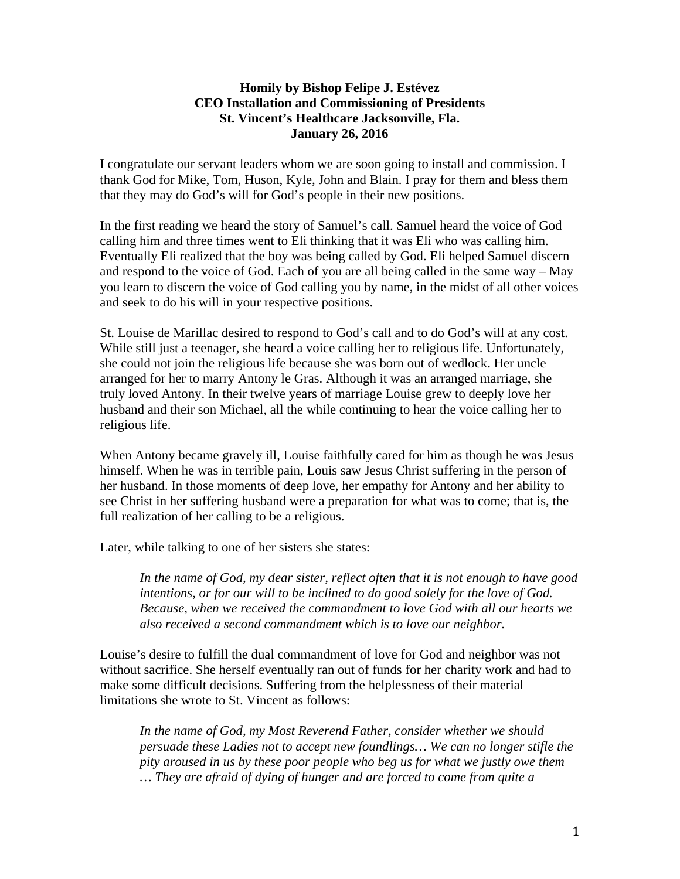## **Homily by Bishop Felipe J. Estévez CEO Installation and Commissioning of Presidents St. Vincent's Healthcare Jacksonville, Fla. January 26, 2016**

I congratulate our servant leaders whom we are soon going to install and commission. I thank God for Mike, Tom, Huson, Kyle, John and Blain. I pray for them and bless them that they may do God's will for God's people in their new positions.

In the first reading we heard the story of Samuel's call. Samuel heard the voice of God calling him and three times went to Eli thinking that it was Eli who was calling him. Eventually Eli realized that the boy was being called by God. Eli helped Samuel discern and respond to the voice of God. Each of you are all being called in the same way – May you learn to discern the voice of God calling you by name, in the midst of all other voices and seek to do his will in your respective positions.

St. Louise de Marillac desired to respond to God's call and to do God's will at any cost. While still just a teenager, she heard a voice calling her to religious life. Unfortunately, she could not join the religious life because she was born out of wedlock. Her uncle arranged for her to marry Antony le Gras. Although it was an arranged marriage, she truly loved Antony. In their twelve years of marriage Louise grew to deeply love her husband and their son Michael, all the while continuing to hear the voice calling her to religious life.

When Antony became gravely ill, Louise faithfully cared for him as though he was Jesus himself. When he was in terrible pain, Louis saw Jesus Christ suffering in the person of her husband. In those moments of deep love, her empathy for Antony and her ability to see Christ in her suffering husband were a preparation for what was to come; that is, the full realization of her calling to be a religious.

Later, while talking to one of her sisters she states:

*In the name of God, my dear sister, reflect often that it is not enough to have good intentions, or for our will to be inclined to do good solely for the love of God. Because, when we received the commandment to love God with all our hearts we also received a second commandment which is to love our neighbor.* 

Louise's desire to fulfill the dual commandment of love for God and neighbor was not without sacrifice. She herself eventually ran out of funds for her charity work and had to make some difficult decisions. Suffering from the helplessness of their material limitations she wrote to St. Vincent as follows:

*In the name of God, my Most Reverend Father, consider whether we should persuade these Ladies not to accept new foundlings… We can no longer stifle the pity aroused in us by these poor people who beg us for what we justly owe them … They are afraid of dying of hunger and are forced to come from quite a*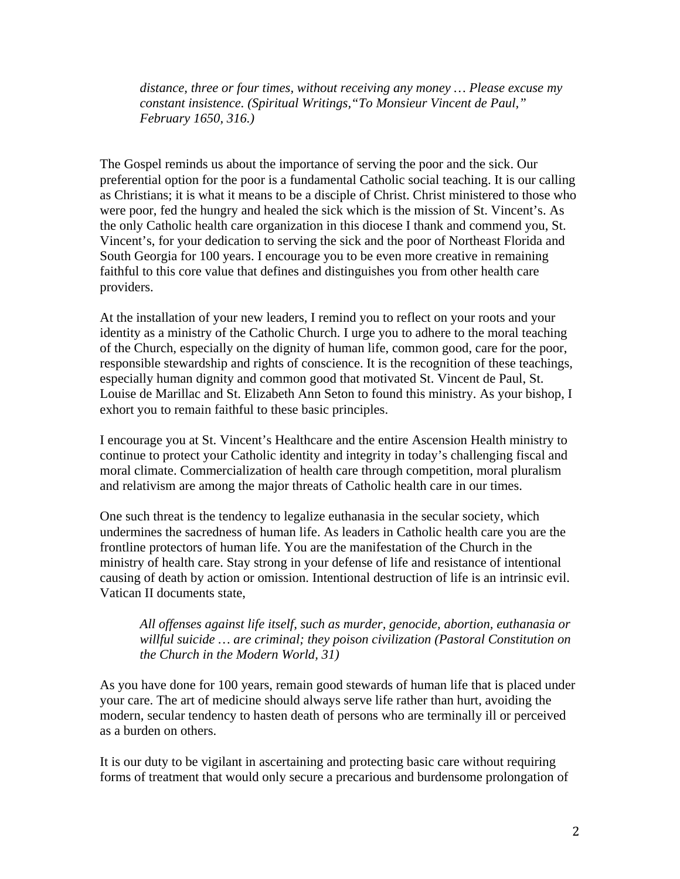*distance, three or four times, without receiving any money … Please excuse my constant insistence. (Spiritual Writings,"To Monsieur Vincent de Paul," February 1650, 316.)* 

The Gospel reminds us about the importance of serving the poor and the sick. Our preferential option for the poor is a fundamental Catholic social teaching. It is our calling as Christians; it is what it means to be a disciple of Christ. Christ ministered to those who were poor, fed the hungry and healed the sick which is the mission of St. Vincent's. As the only Catholic health care organization in this diocese I thank and commend you, St. Vincent's, for your dedication to serving the sick and the poor of Northeast Florida and South Georgia for 100 years. I encourage you to be even more creative in remaining faithful to this core value that defines and distinguishes you from other health care providers.

At the installation of your new leaders, I remind you to reflect on your roots and your identity as a ministry of the Catholic Church. I urge you to adhere to the moral teaching of the Church, especially on the dignity of human life, common good, care for the poor, responsible stewardship and rights of conscience. It is the recognition of these teachings, especially human dignity and common good that motivated St. Vincent de Paul, St. Louise de Marillac and St. Elizabeth Ann Seton to found this ministry. As your bishop, I exhort you to remain faithful to these basic principles.

I encourage you at St. Vincent's Healthcare and the entire Ascension Health ministry to continue to protect your Catholic identity and integrity in today's challenging fiscal and moral climate. Commercialization of health care through competition, moral pluralism and relativism are among the major threats of Catholic health care in our times.

One such threat is the tendency to legalize euthanasia in the secular society, which undermines the sacredness of human life. As leaders in Catholic health care you are the frontline protectors of human life. You are the manifestation of the Church in the ministry of health care. Stay strong in your defense of life and resistance of intentional causing of death by action or omission. Intentional destruction of life is an intrinsic evil. Vatican II documents state,

## *All offenses against life itself, such as murder, genocide, abortion, euthanasia or willful suicide … are criminal; they poison civilization (Pastoral Constitution on the Church in the Modern World, 31)*

As you have done for 100 years, remain good stewards of human life that is placed under your care. The art of medicine should always serve life rather than hurt, avoiding the modern, secular tendency to hasten death of persons who are terminally ill or perceived as a burden on others.

It is our duty to be vigilant in ascertaining and protecting basic care without requiring forms of treatment that would only secure a precarious and burdensome prolongation of